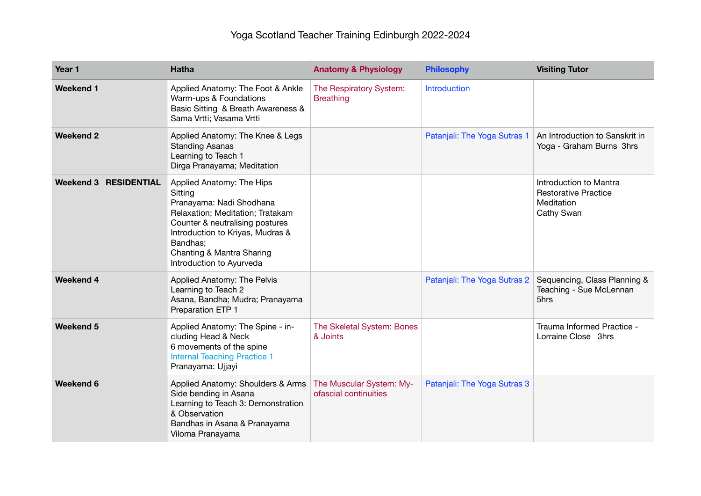| Year 1                       | <b>Hatha</b>                                                                                                                                                                                                                                     | <b>Anatomy &amp; Physiology</b>                   | <b>Philosophy</b>            | <b>Visiting Tutor</b>                                                             |
|------------------------------|--------------------------------------------------------------------------------------------------------------------------------------------------------------------------------------------------------------------------------------------------|---------------------------------------------------|------------------------------|-----------------------------------------------------------------------------------|
| <b>Weekend 1</b>             | Applied Anatomy: The Foot & Ankle<br>Warm-ups & Foundations<br>Basic Sitting & Breath Awareness &<br>Sama Vrtti; Vasama Vrtti                                                                                                                    | The Respiratory System:<br><b>Breathing</b>       | <b>Introduction</b>          |                                                                                   |
| <b>Weekend 2</b>             | Applied Anatomy: The Knee & Legs<br><b>Standing Asanas</b><br>Learning to Teach 1<br>Dirga Pranayama; Meditation                                                                                                                                 |                                                   | Patanjali: The Yoga Sutras 1 | An Introduction to Sanskrit in<br>Yoga - Graham Burns 3hrs                        |
| <b>Weekend 3 RESIDENTIAL</b> | Applied Anatomy: The Hips<br>Sitting<br>Pranayama: Nadi Shodhana<br>Relaxation; Meditation; Tratakam<br>Counter & neutralising postures<br>Introduction to Kriyas, Mudras &<br>Bandhas;<br>Chanting & Mantra Sharing<br>Introduction to Ayurveda |                                                   |                              | Introduction to Mantra<br><b>Restorative Practice</b><br>Meditation<br>Cathy Swan |
| <b>Weekend 4</b>             | Applied Anatomy: The Pelvis<br>Learning to Teach 2<br>Asana, Bandha; Mudra; Pranayama<br>Preparation ETP 1                                                                                                                                       |                                                   | Patanjali: The Yoga Sutras 2 | Sequencing, Class Planning &<br>Teaching - Sue McLennan<br>5hrs                   |
| Weekend 5                    | Applied Anatomy: The Spine - in-<br>cluding Head & Neck<br>6 movements of the spine<br><b>Internal Teaching Practice 1</b><br>Pranayama: Ujjayi                                                                                                  | The Skeletal System: Bones<br>& Joints            |                              | Trauma Informed Practice -<br>Lorraine Close 3hrs                                 |
| Weekend 6                    | Applied Anatomy: Shoulders & Arms<br>Side bending in Asana<br>Learning to Teach 3: Demonstration<br>& Observation<br>Bandhas in Asana & Pranayama<br>Viloma Pranayama                                                                            | The Muscular System: My-<br>ofascial continuities | Patanjali: The Yoga Sutras 3 |                                                                                   |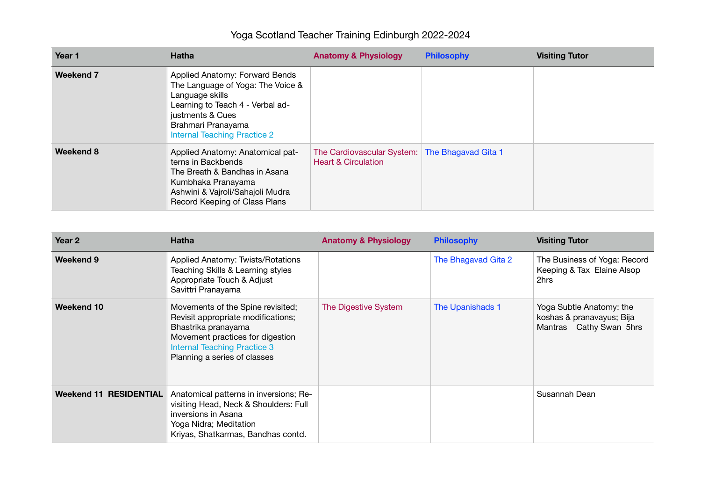## Yoga Scotland Teacher Training Edinburgh 2022-2024

| Year 1           | <b>Hatha</b>                                                                                                                                                                                         | <b>Anatomy &amp; Physiology</b>                                                  | <b>Philosophy</b> | <b>Visiting Tutor</b> |
|------------------|------------------------------------------------------------------------------------------------------------------------------------------------------------------------------------------------------|----------------------------------------------------------------------------------|-------------------|-----------------------|
| <b>Weekend 7</b> | Applied Anatomy: Forward Bends<br>The Language of Yoga: The Voice &<br>Language skills<br>Learning to Teach 4 - Verbal ad-<br>justments & Cues<br>Brahmari Pranayama<br>Internal Teaching Practice 2 |                                                                                  |                   |                       |
| Weekend 8        | Applied Anatomy: Anatomical pat-<br>terns in Backbends<br>The Breath & Bandhas in Asana<br>Kumbhaka Pranayama<br>Ashwini & Vajroli/Sahajoli Mudra<br>Record Keeping of Class Plans                   | The Cardiovascular System: The Bhagavad Gita 1<br><b>Heart &amp; Circulation</b> |                   |                       |

| Year 2                        | <b>Hatha</b>                                                                                                                                                                                              | <b>Anatomy &amp; Physiology</b> | <b>Philosophy</b>   | <b>Visiting Tutor</b>                                                            |
|-------------------------------|-----------------------------------------------------------------------------------------------------------------------------------------------------------------------------------------------------------|---------------------------------|---------------------|----------------------------------------------------------------------------------|
| Weekend 9                     | Applied Anatomy: Twists/Rotations<br>Teaching Skills & Learning styles<br>Appropriate Touch & Adjust<br>Savittri Pranayama                                                                                |                                 | The Bhagavad Gita 2 | The Business of Yoga: Record<br>Keeping & Tax Elaine Alsop<br>2hrs               |
| Weekend 10                    | Movements of the Spine revisited;<br>Revisit appropriate modifications;<br>Bhastrika pranayama<br>Movement practices for digestion<br><b>Internal Teaching Practice 3</b><br>Planning a series of classes | The Digestive System            | The Upanishads 1    | Yoga Subtle Anatomy: the<br>koshas & pranavayus; Bija<br>Mantras Cathy Swan 5hrs |
| <b>Weekend 11 RESIDENTIAL</b> | Anatomical patterns in inversions; Re-<br>visiting Head, Neck & Shoulders: Full<br>inversions in Asana<br>Yoga Nidra; Meditation<br>Kriyas, Shatkarmas, Bandhas contd.                                    |                                 |                     | Susannah Dean                                                                    |